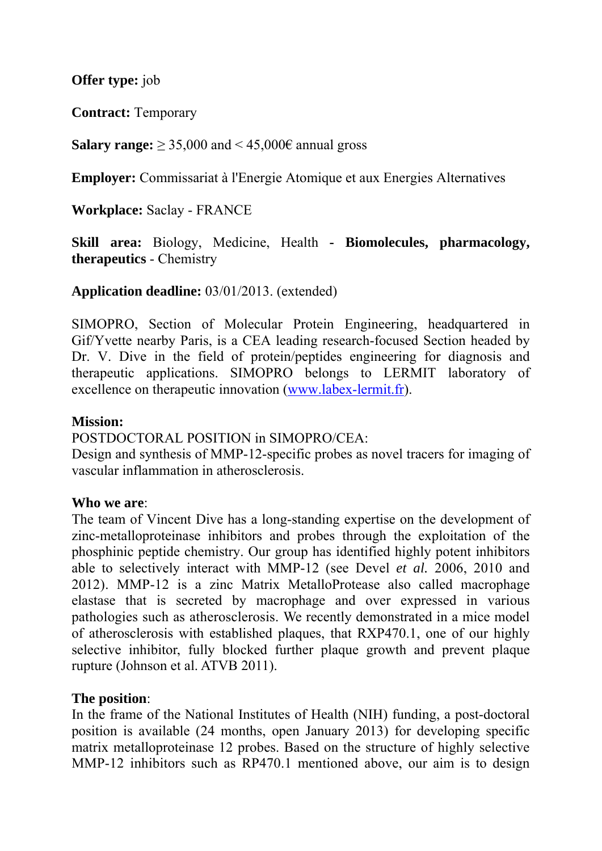**Offer type:** job

**Contract:** Temporary

**Salary range:**  $\geq$  35,000 and < 45,000 $\in$  annual gross

**Employer:** Commissariat à l'Energie Atomique et aux Energies Alternatives

**Workplace:** Saclay - FRANCE

**Skill area:** Biology, Medicine, Health **- Biomolecules, pharmacology, therapeutics** - Chemistry

**Application deadline:** 03/01/2013. (extended)

SIMOPRO, Section of Molecular Protein Engineering, headquartered in Gif/Yvette nearby Paris, is a CEA leading research-focused Section headed by Dr. V. Dive in the field of protein/peptides engineering for diagnosis and therapeutic applications. SIMOPRO belongs to LERMIT laboratory of excellence on therapeutic innovation ([www.labex-lermit.fr\)](http://www.labex-lermit.fr/).

## **Mission:**

POSTDOCTORAL POSITION in SIMOPRO/CEA:

Design and synthesis of MMP-12-specific probes as novel tracers for imaging of vascular inflammation in atherosclerosis.

## **Who we are**:

The team of Vincent Dive has a long-standing expertise on the development of zinc-metalloproteinase inhibitors and probes through the exploitation of the phosphinic peptide chemistry. Our group has identified highly potent inhibitors able to selectively interact with MMP-12 (see Devel *et al.* 2006, 2010 and 2012). MMP-12 is a zinc Matrix MetalloProtease also called macrophage elastase that is secreted by macrophage and over expressed in various pathologies such as atherosclerosis. We recently demonstrated in a mice model of atherosclerosis with established plaques, that RXP470.1, one of our highly selective inhibitor, fully blocked further plaque growth and prevent plaque rupture (Johnson et al. ATVB 2011).

## **The position**:

In the frame of the National Institutes of Health (NIH) funding, a post-doctoral position is available (24 months, open January 2013) for developing specific matrix metalloproteinase 12 probes. Based on the structure of highly selective MMP-12 inhibitors such as RP470.1 mentioned above, our aim is to design